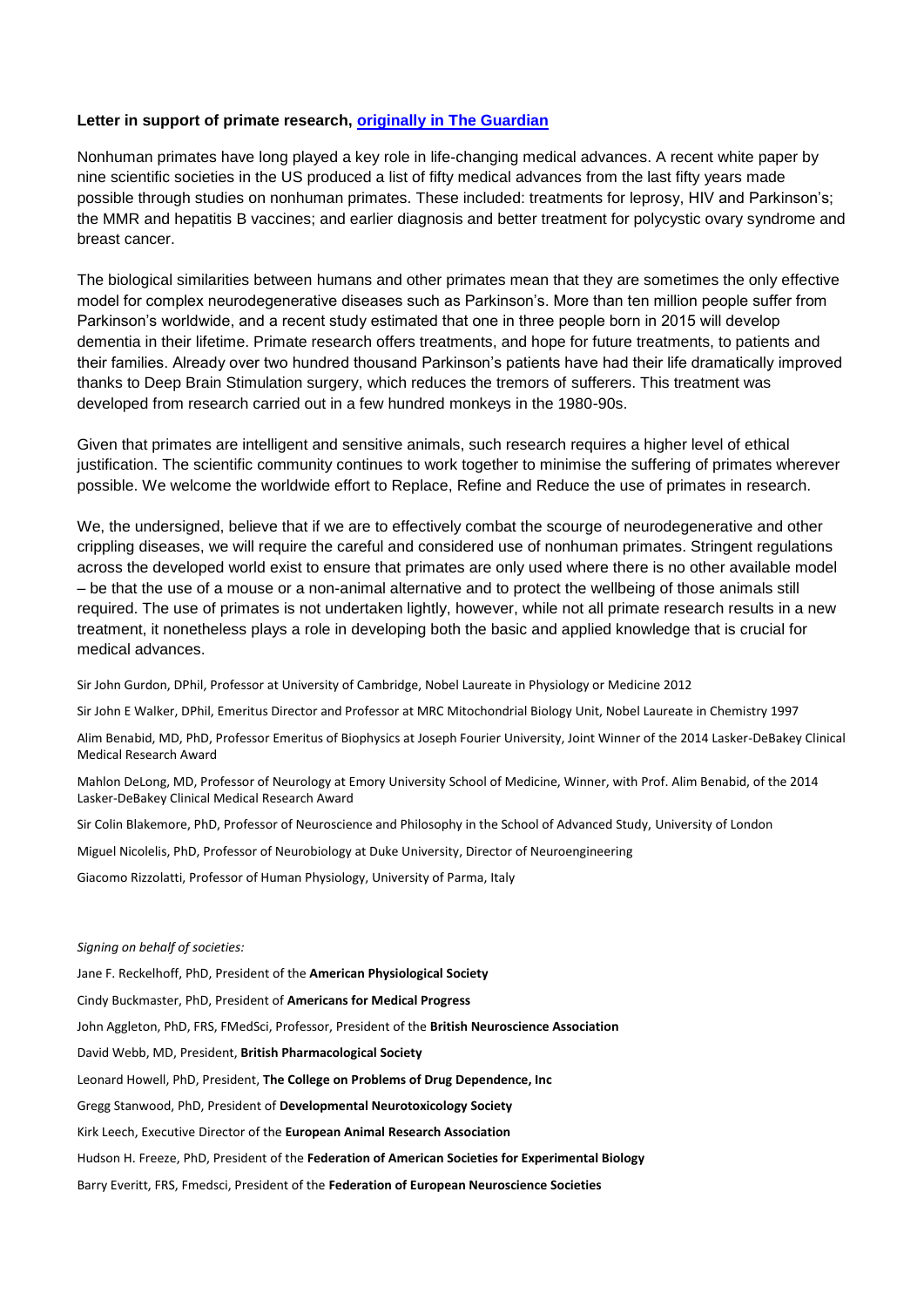## **Letter in support of primate research, [originally in The Guardian](https://www.theguardian.com/science/2016/sep/13/primate-research-is-crucial-if-we-are-to-find-cures-for-diseases-like-parkinsons)**

Nonhuman primates have long played a key role in life-changing medical advances. A recent white paper by nine scientific societies in the US produced a list of fifty medical advances from the last fifty years made possible through studies on nonhuman primates. These included: treatments for leprosy, HIV and Parkinson's; the MMR and hepatitis B vaccines; and earlier diagnosis and better treatment for polycystic ovary syndrome and breast cancer.

The biological similarities between humans and other primates mean that they are sometimes the only effective model for complex neurodegenerative diseases such as Parkinson's. More than ten million people suffer from Parkinson's worldwide, and a recent study estimated that one in three people born in 2015 will develop dementia in their lifetime. Primate research offers treatments, and hope for future treatments, to patients and their families. Already over two hundred thousand Parkinson's patients have had their life dramatically improved thanks to Deep Brain Stimulation surgery, which reduces the tremors of sufferers. This treatment was developed from research carried out in a few hundred monkeys in the 1980-90s.

Given that primates are intelligent and sensitive animals, such research requires a higher level of ethical justification. The scientific community continues to work together to minimise the suffering of primates wherever possible. We welcome the worldwide effort to Replace, Refine and Reduce the use of primates in research.

We, the undersigned, believe that if we are to effectively combat the scourge of neurodegenerative and other crippling diseases, we will require the careful and considered use of nonhuman primates. Stringent regulations across the developed world exist to ensure that primates are only used where there is no other available model – be that the use of a mouse or a non-animal alternative and to protect the wellbeing of those animals still required. The use of primates is not undertaken lightly, however, while not all primate research results in a new treatment, it nonetheless plays a role in developing both the basic and applied knowledge that is crucial for medical advances.

Sir John Gurdon, DPhil, Professor at University of Cambridge, Nobel Laureate in Physiology or Medicine 2012

Sir John E Walker, DPhil, Emeritus Director and Professor at MRC Mitochondrial Biology Unit, Nobel Laureate in Chemistry 1997

Alim Benabid, MD, PhD, Professor Emeritus of Biophysics at Joseph Fourier University, Joint Winner of the 2014 Lasker-DeBakey Clinical Medical Research Award

Mahlon DeLong, MD, Professor of Neurology at Emory University School of Medicine, Winner, with Prof. Alim Benabid, of the 2014 Lasker-DeBakey Clinical Medical Research Award

Sir Colin Blakemore, PhD, Professor of Neuroscience and Philosophy in the School of Advanced Study, University of London

Miguel Nicolelis, PhD, Professor of Neurobiology at Duke University, Director of Neuroengineering

Giacomo Rizzolatti, Professor of Human Physiology, University of Parma, Italy

## *Signing on behalf of societies:*

Jane F. Reckelhoff, PhD, President of the **American Physiological Society** Cindy Buckmaster, PhD, President of **Americans for Medical Progress** John Aggleton, PhD, FRS, FMedSci, Professor, President of the **British Neuroscience Association** David Webb, MD, President, **British Pharmacological Society** Leonard Howell, PhD, President, **The College on Problems of Drug Dependence, Inc** Gregg Stanwood, PhD, President of **Developmental Neurotoxicology Society** Kirk Leech, Executive Director of the **European Animal Research Association** Hudson H. Freeze, PhD, President of the **Federation of American Societies for Experimental Biology** Barry Everitt, FRS, Fmedsci, President of the **Federation of European Neuroscience Societies**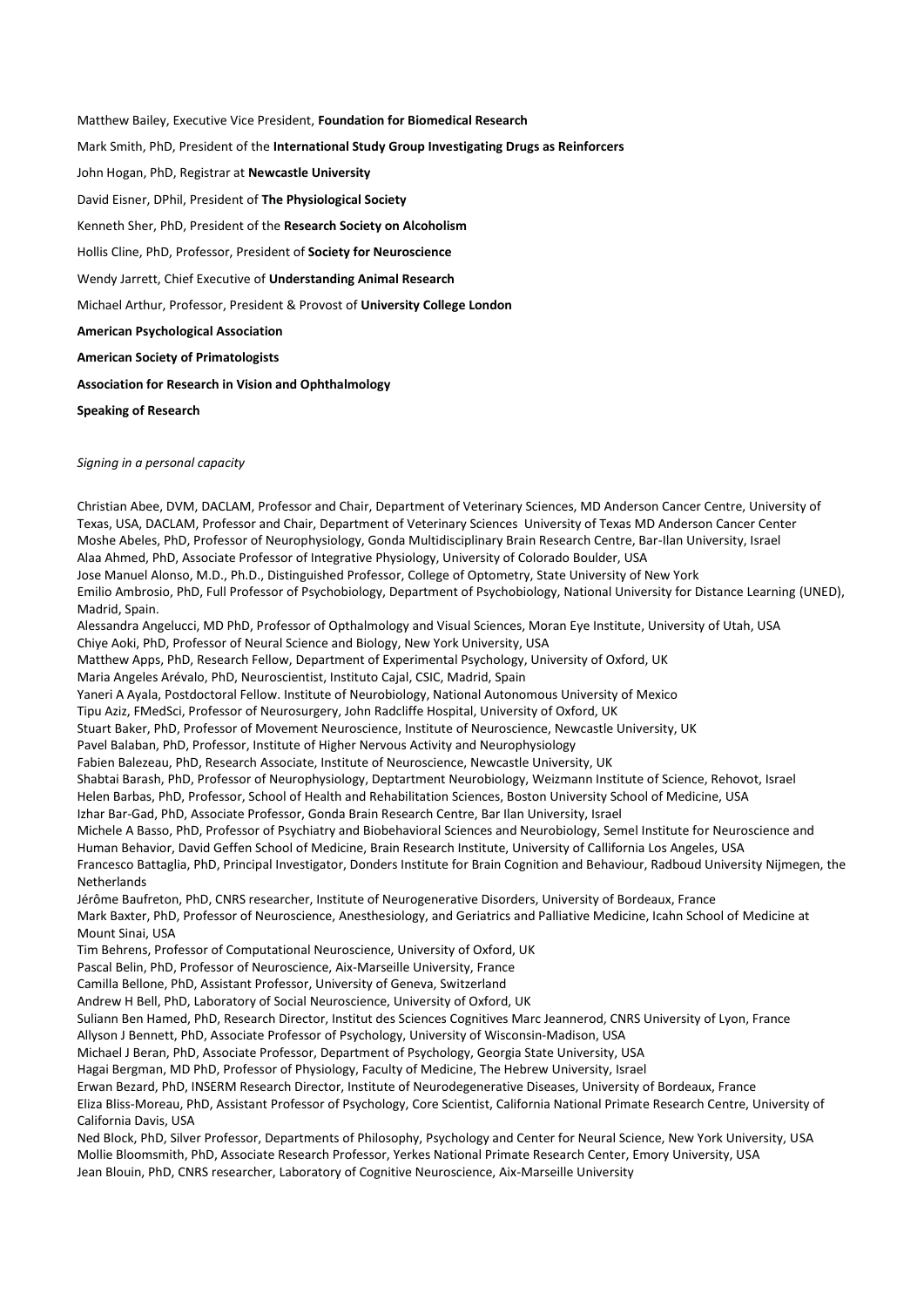Matthew Bailey, Executive Vice President, **Foundation for Biomedical Research** Mark Smith, PhD, President of the **International Study Group Investigating Drugs as Reinforcers** John Hogan, PhD, Registrar at **Newcastle University** David Eisner, DPhil, President of **The Physiological Society** Kenneth Sher, PhD, President of the **Research Society on Alcoholism**  Hollis Cline, PhD, Professor, President of **Society for Neuroscience** Wendy Jarrett, Chief Executive of **Understanding Animal Research** Michael Arthur, Professor, President & Provost of **University College London American Psychological Association American Society of Primatologists Association for Research in Vision and Ophthalmology Speaking of Research**

*Signing in a personal capacity*

Christian Abee, DVM, DACLAM, Professor and Chair, Department of Veterinary Sciences, MD Anderson Cancer Centre, University of Texas, USA, DACLAM, Professor and Chair, Department of Veterinary Sciences University of Texas MD Anderson Cancer Center Moshe Abeles, PhD, Professor of Neurophysiology, Gonda Multidisciplinary Brain Research Centre, Bar-Ilan University, Israel Alaa Ahmed, PhD, Associate Professor of Integrative Physiology, University of Colorado Boulder, USA Jose Manuel Alonso, M.D., Ph.D., Distinguished Professor, College of Optometry, State University of New York Emilio Ambrosio, PhD, Full Professor of Psychobiology, Department of Psychobiology, National University for Distance Learning (UNED), Madrid, Spain. Alessandra Angelucci, MD PhD, Professor of Opthalmology and Visual Sciences, Moran Eye Institute, University of Utah, USA Chiye Aoki, PhD, Professor of Neural Science and Biology, New York University, USA Matthew Apps, PhD, Research Fellow, Department of Experimental Psychology, University of Oxford, UK Maria Angeles Arévalo, PhD, Neuroscientist, Instituto Cajal, CSIC, Madrid, Spain Yaneri A Ayala, Postdoctoral Fellow. Institute of Neurobiology, National Autonomous University of Mexico Tipu Aziz, FMedSci, Professor of Neurosurgery, John Radcliffe Hospital, University of Oxford, UK Stuart Baker, PhD, Professor of Movement Neuroscience, Institute of Neuroscience, Newcastle University, UK Pavel Balaban, PhD, Professor, Institute of Higher Nervous Activity and Neurophysiology Fabien Balezeau, PhD, Research Associate, Institute of Neuroscience, Newcastle University, UK Shabtai Barash, PhD, Professor of Neurophysiology, Deptartment Neurobiology, Weizmann Institute of Science, Rehovot, Israel Helen Barbas, PhD, Professor, School of Health and Rehabilitation Sciences, Boston University School of Medicine, USA Izhar Bar-Gad, PhD, Associate Professor, Gonda Brain Research Centre, Bar Ilan University, Israel Michele A Basso, PhD, Professor of Psychiatry and Biobehavioral Sciences and Neurobiology, Semel Institute for Neuroscience and Human Behavior, David Geffen School of Medicine, Brain Research Institute, University of Callifornia Los Angeles, USA Francesco Battaglia, PhD, Principal Investigator, Donders Institute for Brain Cognition and Behaviour, Radboud University Nijmegen, the Netherlands Jérôme Baufreton, PhD, CNRS researcher, Institute of Neurogenerative Disorders, University of Bordeaux, France Mark Baxter, PhD, Professor of Neuroscience, Anesthesiology, and Geriatrics and Palliative Medicine, Icahn School of Medicine at Mount Sinai, USA Tim Behrens, Professor of Computational Neuroscience, University of Oxford, UK Pascal Belin, PhD, Professor of Neuroscience, Aix-Marseille University, France Camilla Bellone, PhD, Assistant Professor, University of Geneva, Switzerland Andrew H Bell, PhD, Laboratory of Social Neuroscience, University of Oxford, UK Suliann Ben Hamed, PhD, Research Director, Institut des Sciences Cognitives Marc Jeannerod, CNRS University of Lyon, France Allyson J Bennett, PhD, Associate Professor of Psychology, University of Wisconsin-Madison, USA Michael J Beran, PhD, Associate Professor, Department of Psychology, Georgia State University, USA Hagai Bergman, MD PhD, Professor of Physiology, Faculty of Medicine, The Hebrew University, Israel Erwan Bezard, PhD, INSERM Research Director, Institute of Neurodegenerative Diseases, University of Bordeaux, France Eliza Bliss-Moreau, PhD, Assistant Professor of Psychology, Core Scientist, California National Primate Research Centre, University of California Davis, USA

Ned Block, PhD, Silver Professor, Departments of Philosophy, Psychology and Center for Neural Science, New York University, USA Mollie Bloomsmith, PhD, Associate Research Professor, Yerkes National Primate Research Center, Emory University, USA Jean Blouin, PhD, CNRS researcher, Laboratory of Cognitive Neuroscience, Aix-Marseille University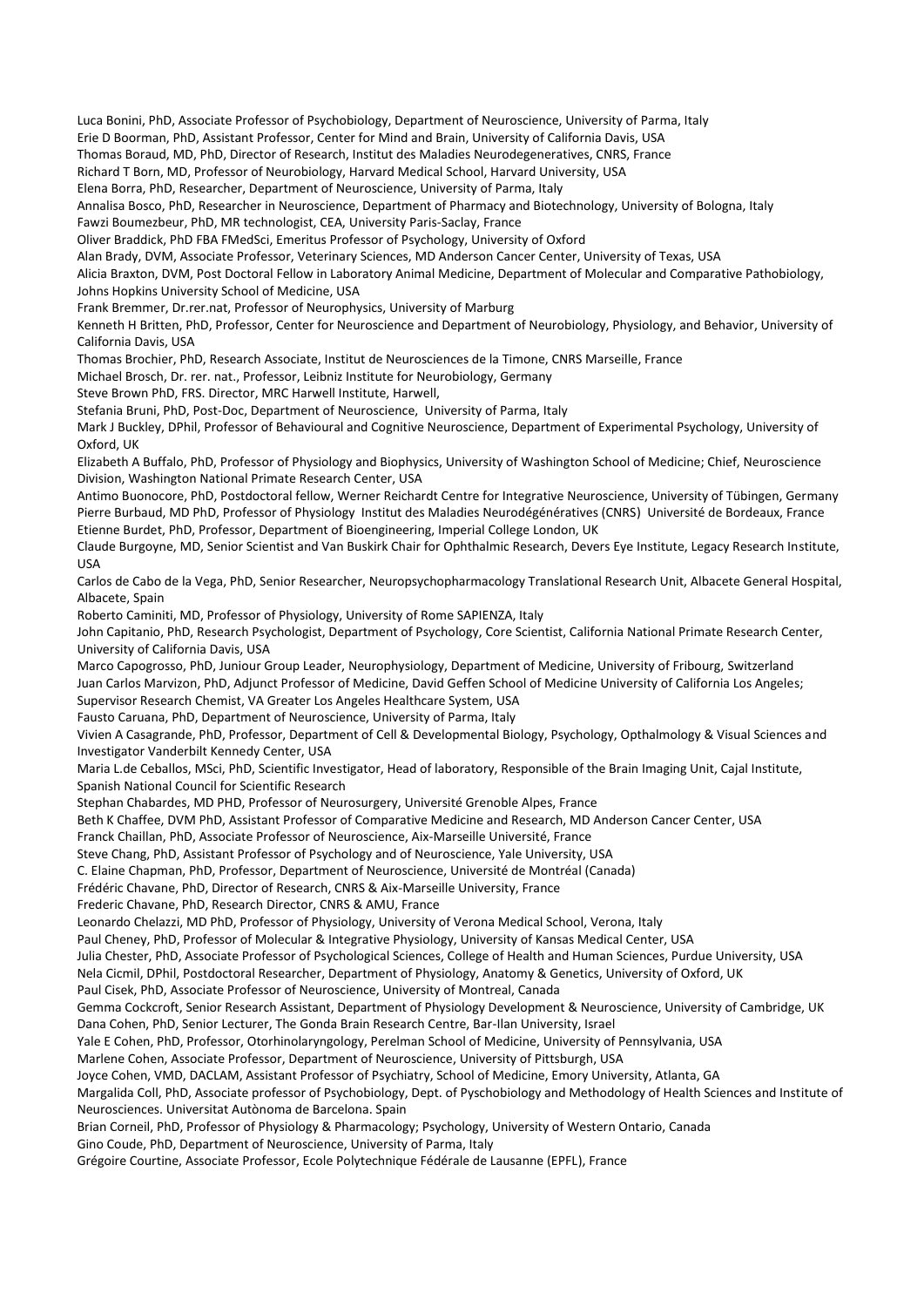Luca Bonini, PhD, Associate Professor of Psychobiology, Department of Neuroscience, University of Parma, Italy Erie D Boorman, PhD, Assistant Professor, Center for Mind and Brain, University of California Davis, USA

Thomas Boraud, MD, PhD, Director of Research, Institut des Maladies Neurodegeneratives, CNRS, France

Richard T Born, MD, Professor of Neurobiology, Harvard Medical School, Harvard University, USA

Elena Borra, PhD, Researcher, Department of Neuroscience, University of Parma, Italy

Annalisa Bosco, PhD, Researcher in Neuroscience, Department of Pharmacy and Biotechnology, University of Bologna, Italy

Fawzi Boumezbeur, PhD, MR technologist, CEA, University Paris-Saclay, France

Oliver Braddick, PhD FBA FMedSci, Emeritus Professor of Psychology, University of Oxford

Alan Brady, DVM, Associate Professor, Veterinary Sciences, MD Anderson Cancer Center, University of Texas, USA

Alicia Braxton, DVM, Post Doctoral Fellow in Laboratory Animal Medicine, Department of Molecular and Comparative Pathobiology, Johns Hopkins University School of Medicine, USA

Frank Bremmer, Dr.rer.nat, Professor of Neurophysics, University of Marburg

Kenneth H Britten, PhD, Professor, Center for Neuroscience and Department of Neurobiology, Physiology, and Behavior, University of California Davis, USA

Thomas Brochier, PhD, Research Associate, Institut de Neurosciences de la Timone, CNRS Marseille, France

Michael Brosch, Dr. rer. nat., Professor, Leibniz Institute for Neurobiology, Germany

Steve Brown PhD, FRS. Director, MRC Harwell Institute, Harwell,

Stefania Bruni, PhD, Post-Doc, Department of Neuroscience, University of Parma, Italy

Mark J Buckley, DPhil, Professor of Behavioural and Cognitive Neuroscience, Department of Experimental Psychology, University of Oxford, UK

Elizabeth A Buffalo, PhD, Professor of Physiology and Biophysics, University of Washington School of Medicine; Chief, Neuroscience Division, Washington National Primate Research Center, USA

Antimo Buonocore, PhD, Postdoctoral fellow, Werner Reichardt Centre for Integrative Neuroscience, University of Tübingen, Germany Pierre Burbaud, MD PhD, Professor of Physiology Institut des Maladies Neurodégénératives (CNRS) Université de Bordeaux, France Etienne Burdet, PhD, Professor, Department of Bioengineering, Imperial College London, UK

Claude Burgoyne, MD, Senior Scientist and Van Buskirk Chair for Ophthalmic Research, Devers Eye Institute, Legacy Research Institute, USA

Carlos de Cabo de la Vega, PhD, Senior Researcher, Neuropsychopharmacology Translational Research Unit, Albacete General Hospital, Albacete, Spain

Roberto Caminiti, MD, Professor of Physiology, University of Rome SAPIENZA, Italy

John Capitanio, PhD, Research Psychologist, Department of Psychology, Core Scientist, California National Primate Research Center, University of California Davis, USA

Marco Capogrosso, PhD, Juniour Group Leader, Neurophysiology, Department of Medicine, University of Fribourg, Switzerland Juan Carlos Marvizon, PhD, Adjunct Professor of Medicine, David Geffen School of Medicine University of California Los Angeles; Supervisor Research Chemist, VA Greater Los Angeles Healthcare System, USA

Fausto Caruana, PhD, Department of Neuroscience, University of Parma, Italy

Vivien A Casagrande, PhD, Professor, Department of Cell & Developmental Biology, Psychology, Opthalmology & Visual Sciences and Investigator Vanderbilt Kennedy Center, USA

Maria L.de Ceballos, MSci, PhD, Scientific Investigator, Head of laboratory, Responsible of the Brain Imaging Unit, Cajal Institute, Spanish National Council for Scientific Research

Stephan Chabardes, MD PHD, Professor of Neurosurgery, Université Grenoble Alpes, France

Beth K Chaffee, DVM PhD, Assistant Professor of Comparative Medicine and Research, MD Anderson Cancer Center, USA

Franck Chaillan, PhD, Associate Professor of Neuroscience, Aix-Marseille Université, France

Steve Chang, PhD, Assistant Professor of Psychology and of Neuroscience, Yale University, USA

C. Elaine Chapman, PhD, Professor, Department of Neuroscience, Université de Montréal (Canada)

Frédéric Chavane, PhD, Director of Research, CNRS & Aix-Marseille University, France

Frederic Chavane, PhD, Research Director, CNRS & AMU, France

Leonardo Chelazzi, MD PhD, Professor of Physiology, University of Verona Medical School, Verona, Italy

Paul Cheney, PhD, Professor of Molecular & Integrative Physiology, University of Kansas Medical Center, USA

Julia Chester, PhD, Associate Professor of Psychological Sciences, College of Health and Human Sciences, Purdue University, USA

Nela Cicmil, DPhil, Postdoctoral Researcher, Department of Physiology, Anatomy & Genetics, University of Oxford, UK

Paul Cisek, PhD, Associate Professor of Neuroscience, University of Montreal, Canada

Gemma Cockcroft, Senior Research Assistant, Department of Physiology Development & Neuroscience, University of Cambridge, UK Dana Cohen, PhD, Senior Lecturer, The Gonda Brain Research Centre, Bar-Ilan University, Israel

Yale E Cohen, PhD, Professor, Otorhinolaryngology, Perelman School of Medicine, University of Pennsylvania, USA

Marlene Cohen, Associate Professor, Department of Neuroscience, University of Pittsburgh, USA

Joyce Cohen, VMD, DACLAM, Assistant Professor of Psychiatry, School of Medicine, Emory University, Atlanta, GA

Margalida Coll, PhD, Associate professor of Psychobiology, Dept. of Pyschobiology and Methodology of Health Sciences and Institute of Neurosciences. Universitat Autònoma de Barcelona. Spain

Brian Corneil, PhD, Professor of Physiology & Pharmacology; Psychology, University of Western Ontario, Canada

Gino Coude, PhD, Department of Neuroscience, University of Parma, Italy

Grégoire Courtine, Associate Professor, Ecole Polytechnique Fédérale de Lausanne (EPFL), France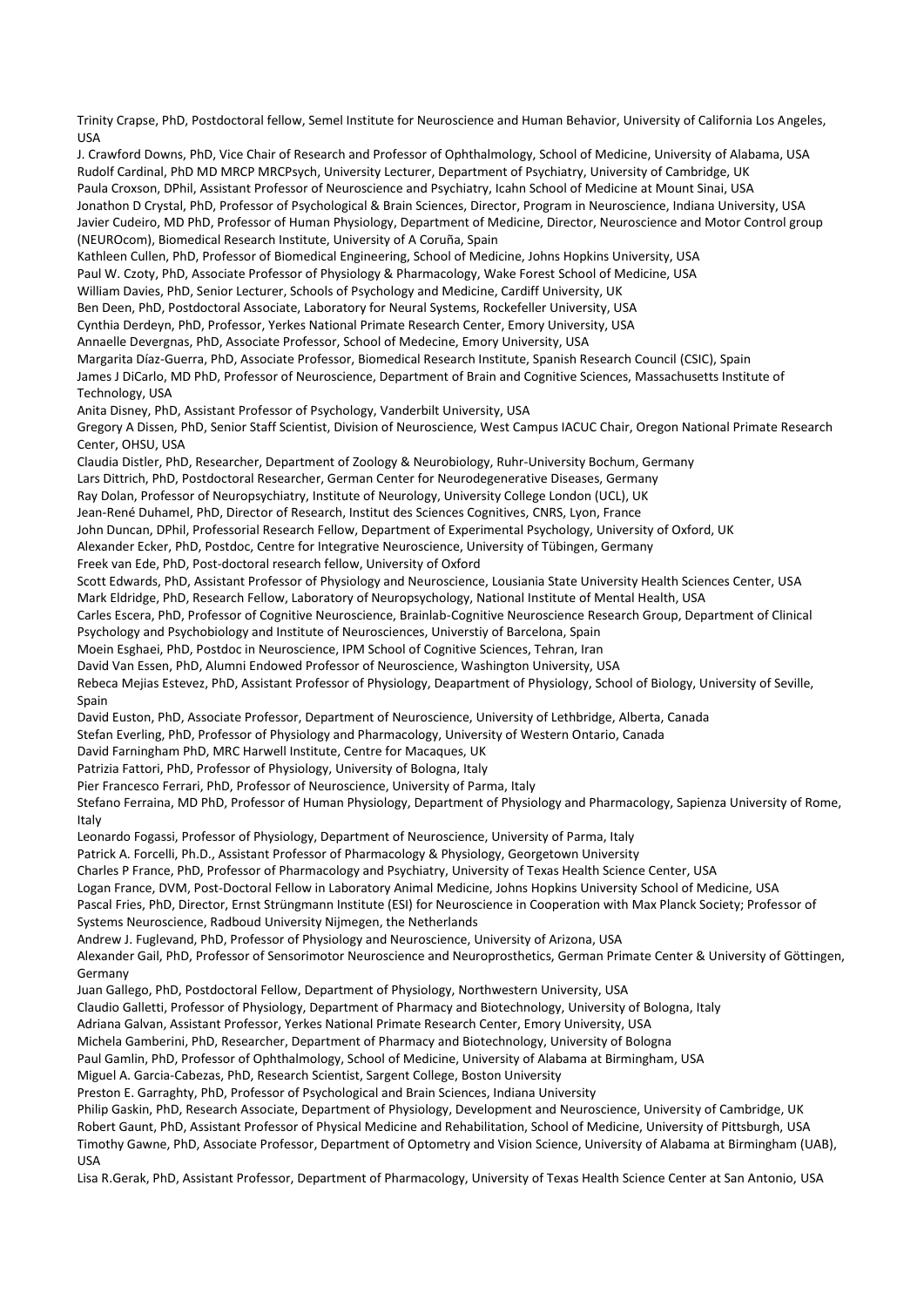Trinity Crapse, PhD, Postdoctoral fellow, Semel Institute for Neuroscience and Human Behavior, University of California Los Angeles, USA

J. Crawford Downs, PhD, Vice Chair of Research and Professor of Ophthalmology, School of Medicine, University of Alabama, USA Rudolf Cardinal, PhD MD MRCP MRCPsych, University Lecturer, Department of Psychiatry, University of Cambridge, UK Paula Croxson, DPhil, Assistant Professor of Neuroscience and Psychiatry, Icahn School of Medicine at Mount Sinai, USA Jonathon D Crystal, PhD, Professor of Psychological & Brain Sciences, Director, Program in Neuroscience, Indiana University, USA Javier Cudeiro, MD PhD, Professor of Human Physiology, Department of Medicine, Director, Neuroscience and Motor Control group (NEUROcom), Biomedical Research Institute, University of A Coruña, Spain Kathleen Cullen, PhD, Professor of Biomedical Engineering, School of Medicine, Johns Hopkins University, USA Paul W. Czoty, PhD, Associate Professor of Physiology & Pharmacology, Wake Forest School of Medicine, USA William Davies, PhD, Senior Lecturer, Schools of Psychology and Medicine, Cardiff University, UK Ben Deen, PhD, Postdoctoral Associate, Laboratory for Neural Systems, Rockefeller University, USA Cynthia Derdeyn, PhD, Professor, Yerkes National Primate Research Center, Emory University, USA Annaelle Devergnas, PhD, Associate Professor, School of Medecine, Emory University, USA Margarita Díaz-Guerra, PhD, Associate Professor, Biomedical Research Institute, Spanish Research Council (CSIC), Spain James J DiCarlo, MD PhD, Professor of Neuroscience, Department of Brain and Cognitive Sciences, Massachusetts Institute of Technology, USA Anita Disney, PhD, Assistant Professor of Psychology, Vanderbilt University, USA Gregory A Dissen, PhD, Senior Staff Scientist, Division of Neuroscience, West Campus IACUC Chair, Oregon National Primate Research Center, OHSU, USA Claudia Distler, PhD, Researcher, Department of Zoology & Neurobiology, Ruhr-University Bochum, Germany Lars Dittrich, PhD, Postdoctoral Researcher, German Center for Neurodegenerative Diseases, Germany Ray Dolan, Professor of Neuropsychiatry, Institute of Neurology, University College London (UCL), UK Jean-René Duhamel, PhD, Director of Research, Institut des Sciences Cognitives, CNRS, Lyon, France John Duncan, DPhil, Professorial Research Fellow, Department of Experimental Psychology, University of Oxford, UK Alexander Ecker, PhD, Postdoc, Centre for Integrative Neuroscience, University of Tübingen, Germany Freek van Ede, PhD, Post-doctoral research fellow, University of Oxford Scott Edwards, PhD, Assistant Professor of Physiology and Neuroscience, Lousiania State University Health Sciences Center, USA Mark Eldridge, PhD, Research Fellow, Laboratory of Neuropsychology, National Institute of Mental Health, USA Carles Escera, PhD, Professor of Cognitive Neuroscience, Brainlab-Cognitive Neuroscience Research Group, Department of Clinical Psychology and Psychobiology and Institute of Neurosciences, Universtiy of Barcelona, Spain Moein Esghaei, PhD, Postdoc in Neuroscience, IPM School of Cognitive Sciences, Tehran, Iran David Van Essen, PhD, Alumni Endowed Professor of Neuroscience, Washington University, USA Rebeca Mejias Estevez, PhD, Assistant Professor of Physiology, Deapartment of Physiology, School of Biology, University of Seville, Spain David Euston, PhD, Associate Professor, Department of Neuroscience, University of Lethbridge, Alberta, Canada Stefan Everling, PhD, Professor of Physiology and Pharmacology, University of Western Ontario, Canada David Farningham PhD, MRC Harwell Institute, Centre for Macaques, UK Patrizia Fattori, PhD, Professor of Physiology, University of Bologna, Italy Pier Francesco Ferrari, PhD, Professor of Neuroscience, University of Parma, Italy Stefano Ferraina, MD PhD, Professor of Human Physiology, Department of Physiology and Pharmacology, Sapienza University of Rome, Italy Leonardo Fogassi, Professor of Physiology, Department of Neuroscience, University of Parma, Italy Patrick A. Forcelli, Ph.D., Assistant Professor of Pharmacology & Physiology, Georgetown University Charles P France, PhD, Professor of Pharmacology and Psychiatry, University of Texas Health Science Center, USA Logan France, DVM, Post-Doctoral Fellow in Laboratory Animal Medicine, Johns Hopkins University School of Medicine, USA Pascal Fries, PhD, Director, Ernst Strüngmann Institute (ESI) for Neuroscience in Cooperation with Max Planck Society; Professor of Systems Neuroscience, Radboud University Nijmegen, the Netherlands Andrew J. Fuglevand, PhD, Professor of Physiology and Neuroscience, University of Arizona, USA Alexander Gail, PhD, Professor of Sensorimotor Neuroscience and Neuroprosthetics, German Primate Center & University of Göttingen, Germany Juan Gallego, PhD, Postdoctoral Fellow, Department of Physiology, Northwestern University, USA Claudio Galletti, Professor of Physiology, Department of Pharmacy and Biotechnology, University of Bologna, Italy Adriana Galvan, Assistant Professor, Yerkes National Primate Research Center, Emory University, USA

Michela Gamberini, PhD, Researcher, Department of Pharmacy and Biotechnology, University of Bologna

Paul Gamlin, PhD, Professor of Ophthalmology, School of Medicine, University of Alabama at Birmingham, USA

Miguel A. Garcia-Cabezas, PhD, Research Scientist, Sargent College, Boston University

Preston E. Garraghty, PhD, Professor of Psychological and Brain Sciences, Indiana University

Philip Gaskin, PhD, Research Associate, Department of Physiology, Development and Neuroscience, University of Cambridge, UK

Robert Gaunt, PhD, Assistant Professor of Physical Medicine and Rehabilitation, School of Medicine, University of Pittsburgh, USA

Timothy Gawne, PhD, Associate Professor, Department of Optometry and Vision Science, University of Alabama at Birmingham (UAB), USA

Lisa R.Gerak, PhD, Assistant Professor, Department of Pharmacology, University of Texas Health Science Center at San Antonio, USA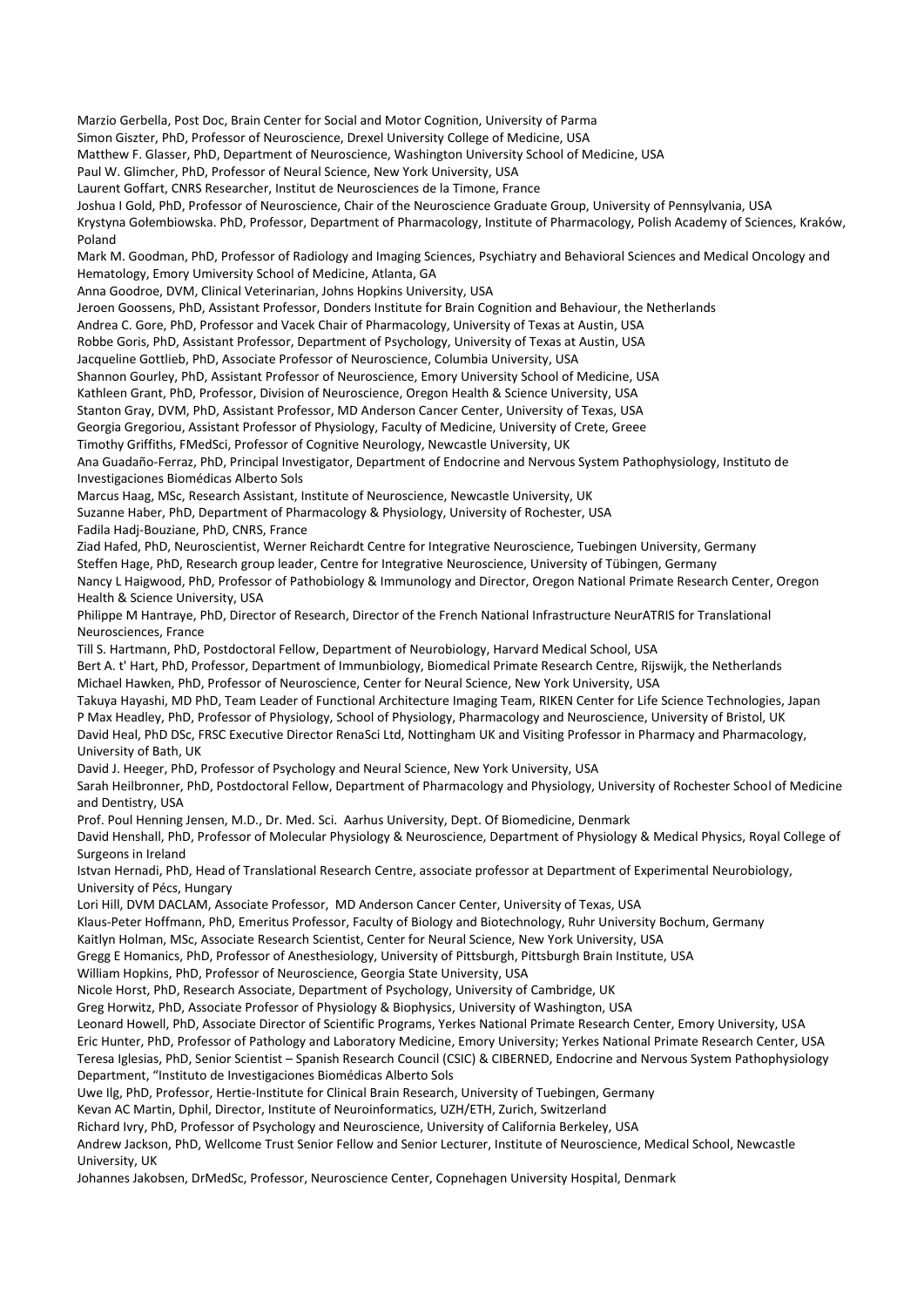Marzio Gerbella, Post Doc, Brain Center for Social and Motor Cognition, University of Parma

Simon Giszter, PhD, Professor of Neuroscience, Drexel University College of Medicine, USA

Matthew F. Glasser, PhD, Department of Neuroscience, Washington University School of Medicine, USA

Paul W. Glimcher, PhD, Professor of Neural Science, New York University, USA

Laurent Goffart, CNRS Researcher, Institut de Neurosciences de la Timone, France

Joshua I Gold, PhD, Professor of Neuroscience, Chair of the Neuroscience Graduate Group, University of Pennsylvania, USA

Krystyna Gołembiowska. PhD, Professor, Department of Pharmacology, Institute of Pharmacology, Polish Academy of Sciences, Kraków, Poland

Mark M. Goodman, PhD, Professor of Radiology and Imaging Sciences, Psychiatry and Behavioral Sciences and Medical Oncology and Hematology, Emory Umiversity School of Medicine, Atlanta, GA

Anna Goodroe, DVM, Clinical Veterinarian, Johns Hopkins University, USA

Jeroen Goossens, PhD, Assistant Professor, Donders Institute for Brain Cognition and Behaviour, the Netherlands

Andrea C. Gore, PhD, Professor and Vacek Chair of Pharmacology, University of Texas at Austin, USA

Robbe Goris, PhD, Assistant Professor, Department of Psychology, University of Texas at Austin, USA

Jacqueline Gottlieb, PhD, Associate Professor of Neuroscience, Columbia University, USA

Shannon Gourley, PhD, Assistant Professor of Neuroscience, Emory University School of Medicine, USA

Kathleen Grant, PhD, Professor, Division of Neuroscience, Oregon Health & Science University, USA

Stanton Gray, DVM, PhD, Assistant Professor, MD Anderson Cancer Center, University of Texas, USA

Georgia Gregoriou, Assistant Professor of Physiology, Faculty of Medicine, University of Crete, Greee

Timothy Griffiths, FMedSci, Professor of Cognitive Neurology, Newcastle University, UK

Ana Guadaño-Ferraz, PhD, Principal Investigator, Department of Endocrine and Nervous System Pathophysiology, Instituto de Investigaciones Biomédicas Alberto Sols

Marcus Haag, MSc, Research Assistant, Institute of Neuroscience, Newcastle University, UK

Suzanne Haber, PhD, Department of Pharmacology & Physiology, University of Rochester, USA

Fadila Hadj-Bouziane, PhD, CNRS, France

Ziad Hafed, PhD, Neuroscientist, Werner Reichardt Centre for Integrative Neuroscience, Tuebingen University, Germany Steffen Hage, PhD, Research group leader, Centre for Integrative Neuroscience, University of Tübingen, Germany Nancy L Haigwood, PhD, Professor of Pathobiology & Immunology and Director, Oregon National Primate Research Center, Oregon Health & Science University, USA

Philippe M Hantraye, PhD, Director of Research, Director of the French National Infrastructure NeurATRIS for Translational Neurosciences, France

Till S. Hartmann, PhD, Postdoctoral Fellow, Department of Neurobiology, Harvard Medical School, USA

Bert A. t' Hart, PhD, Professor, Department of Immunbiology, Biomedical Primate Research Centre, Rijswijk, the Netherlands Michael Hawken, PhD, Professor of Neuroscience, Center for Neural Science, New York University, USA

Takuya Hayashi, MD PhD, Team Leader of Functional Architecture Imaging Team, RIKEN Center for Life Science Technologies, Japan P Max Headley, PhD, Professor of Physiology, School of Physiology, Pharmacology and Neuroscience, University of Bristol, UK David Heal, PhD DSc, FRSC Executive Director RenaSci Ltd, Nottingham UK and Visiting Professor in Pharmacy and Pharmacology, University of Bath, UK

David J. Heeger, PhD, Professor of Psychology and Neural Science, New York University, USA

Sarah Heilbronner, PhD, Postdoctoral Fellow, Department of Pharmacology and Physiology, University of Rochester School of Medicine and Dentistry, USA

Prof. Poul Henning Jensen, M.D., Dr. Med. Sci. Aarhus University, Dept. Of Biomedicine, Denmark

David Henshall, PhD, Professor of Molecular Physiology & Neuroscience, Department of Physiology & Medical Physics, Royal College of Surgeons in Ireland

Istvan Hernadi, PhD, Head of Translational Research Centre, associate professor at Department of Experimental Neurobiology, University of Pécs, Hungary

Lori Hill, DVM DACLAM, Associate Professor, MD Anderson Cancer Center, University of Texas, USA

Klaus-Peter Hoffmann, PhD, Emeritus Professor, Faculty of Biology and Biotechnology, Ruhr University Bochum, Germany

Kaitlyn Holman, MSc, Associate Research Scientist, Center for Neural Science, New York University, USA

Gregg E Homanics, PhD, Professor of Anesthesiology, University of Pittsburgh, Pittsburgh Brain Institute, USA

William Hopkins, PhD, Professor of Neuroscience, Georgia State University, USA

Nicole Horst, PhD, Research Associate, Department of Psychology, University of Cambridge, UK

Greg Horwitz, PhD, Associate Professor of Physiology & Biophysics, University of Washington, USA

Leonard Howell, PhD, Associate Director of Scientific Programs, Yerkes National Primate Research Center, Emory University, USA

Eric Hunter, PhD, Professor of Pathology and Laboratory Medicine, Emory University; Yerkes National Primate Research Center, USA Teresa Iglesias, PhD, Senior Scientist – Spanish Research Council (CSIC) & CIBERNED, Endocrine and Nervous System Pathophysiology Department, "Instituto de Investigaciones Biomédicas Alberto Sols

Uwe Ilg, PhD, Professor, Hertie-Institute for Clinical Brain Research, University of Tuebingen, Germany

Kevan AC Martin, Dphil, Director, Institute of Neuroinformatics, UZH/ETH, Zurich, Switzerland

Richard Ivry, PhD, Professor of Psychology and Neuroscience, University of California Berkeley, USA

Andrew Jackson, PhD, Wellcome Trust Senior Fellow and Senior Lecturer, Institute of Neuroscience, Medical School, Newcastle University, UK

Johannes Jakobsen, DrMedSc, Professor, Neuroscience Center, Copnehagen University Hospital, Denmark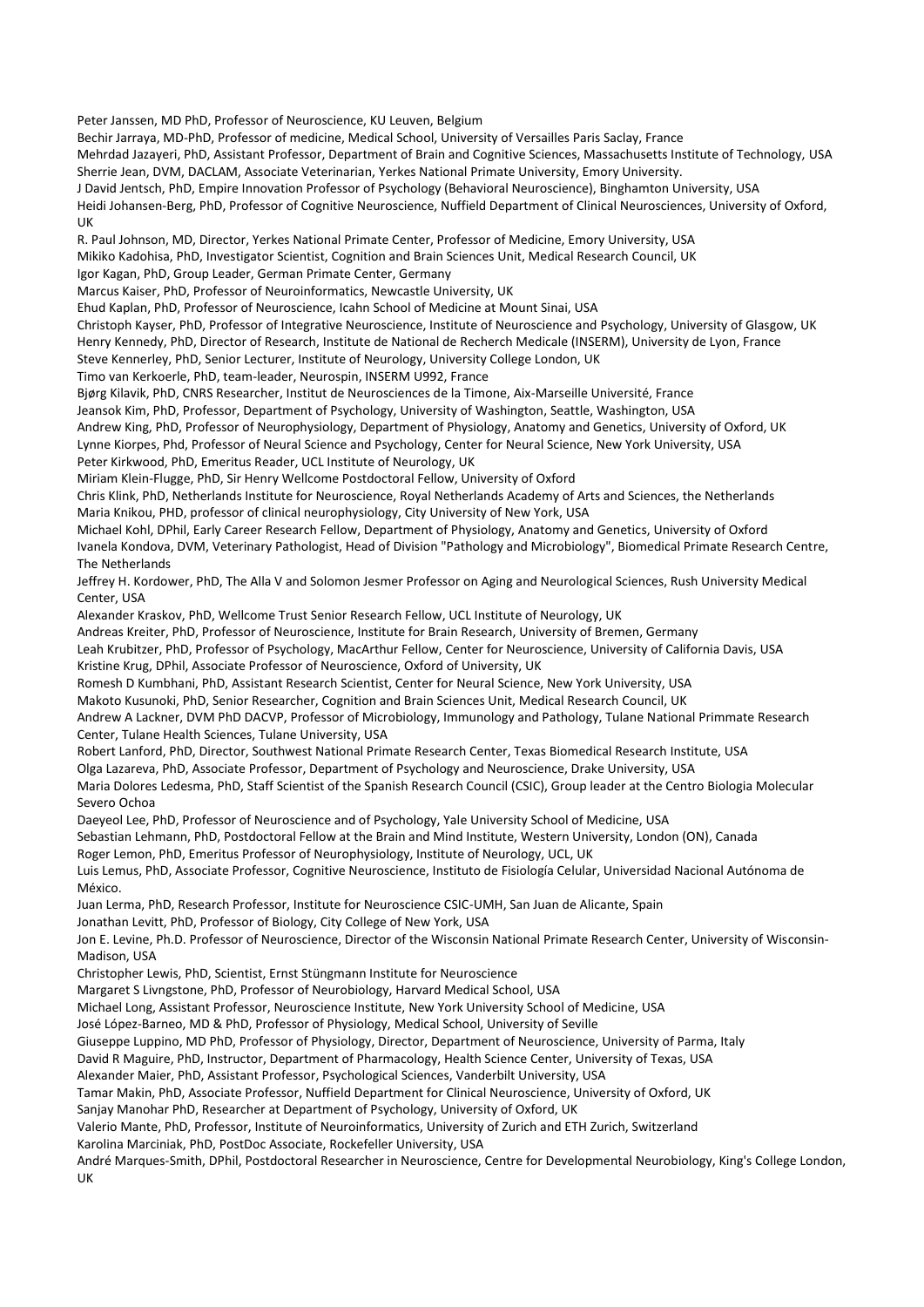Peter Janssen, MD PhD, Professor of Neuroscience, KU Leuven, Belgium

Bechir Jarraya, MD-PhD, Professor of medicine, Medical School, University of Versailles Paris Saclay, France

Mehrdad Jazayeri, PhD, Assistant Professor, Department of Brain and Cognitive Sciences, Massachusetts Institute of Technology, USA Sherrie Jean, DVM, DACLAM, Associate Veterinarian, Yerkes National Primate University, Emory University.

J David Jentsch, PhD, Empire Innovation Professor of Psychology (Behavioral Neuroscience), Binghamton University, USA Heidi Johansen-Berg, PhD, Professor of Cognitive Neuroscience, Nuffield Department of Clinical Neurosciences, University of Oxford, UK

R. Paul Johnson, MD, Director, Yerkes National Primate Center, Professor of Medicine, Emory University, USA Mikiko Kadohisa, PhD, Investigator Scientist, Cognition and Brain Sciences Unit, Medical Research Council, UK

Igor Kagan, PhD, Group Leader, German Primate Center, Germany

Marcus Kaiser, PhD, Professor of Neuroinformatics, Newcastle University, UK

Ehud Kaplan, PhD, Professor of Neuroscience, Icahn School of Medicine at Mount Sinai, USA

Christoph Kayser, PhD, Professor of Integrative Neuroscience, Institute of Neuroscience and Psychology, University of Glasgow, UK Henry Kennedy, PhD, Director of Research, Institute de National de Recherch Medicale (INSERM), University de Lyon, France

Steve Kennerley, PhD, Senior Lecturer, Institute of Neurology, University College London, UK

Timo van Kerkoerle, PhD, team-leader, Neurospin, INSERM U992, France

Bjørg Kilavik, PhD, CNRS Researcher, Institut de Neurosciences de la Timone, Aix-Marseille Université, France Jeansok Kim, PhD, Professor, Department of Psychology, University of Washington, Seattle, Washington, USA Andrew King, PhD, Professor of Neurophysiology, Department of Physiology, Anatomy and Genetics, University of Oxford, UK Lynne Kiorpes, Phd, Professor of Neural Science and Psychology, Center for Neural Science, New York University, USA

Peter Kirkwood, PhD, Emeritus Reader, UCL Institute of Neurology, UK

Miriam Klein-Flugge, PhD, Sir Henry Wellcome Postdoctoral Fellow, University of Oxford

Chris Klink, PhD, Netherlands Institute for Neuroscience, Royal Netherlands Academy of Arts and Sciences, the Netherlands Maria Knikou, PHD, professor of clinical neurophysiology, City University of New York, USA

Michael Kohl, DPhil, Early Career Research Fellow, Department of Physiology, Anatomy and Genetics, University of Oxford Ivanela Kondova, DVM, Veterinary Pathologist, Head of Division "Pathology and Microbiology", Biomedical Primate Research Centre, The Netherlands

Jeffrey H. Kordower, PhD, The Alla V and Solomon Jesmer Professor on Aging and Neurological Sciences, Rush University Medical Center, USA

Alexander Kraskov, PhD, Wellcome Trust Senior Research Fellow, UCL Institute of Neurology, UK

Andreas Kreiter, PhD, Professor of Neuroscience, Institute for Brain Research, University of Bremen, Germany Leah Krubitzer, PhD, Professor of Psychology, MacArthur Fellow, Center for Neuroscience, University of California Davis, USA

Kristine Krug, DPhil, Associate Professor of Neuroscience, Oxford of University, UK

Romesh D Kumbhani, PhD, Assistant Research Scientist, Center for Neural Science, New York University, USA

Makoto Kusunoki, PhD, Senior Researcher, Cognition and Brain Sciences Unit, Medical Research Council, UK Andrew A Lackner, DVM PhD DACVP, Professor of Microbiology, Immunology and Pathology, Tulane National Primmate Research Center, Tulane Health Sciences, Tulane University, USA

Robert Lanford, PhD, Director, Southwest National Primate Research Center, Texas Biomedical Research Institute, USA

Olga Lazareva, PhD, Associate Professor, Department of Psychology and Neuroscience, Drake University, USA

Maria Dolores Ledesma, PhD, Staff Scientist of the Spanish Research Council (CSIC), Group leader at the Centro Biologia Molecular Severo Ochoa

Daeyeol Lee, PhD, Professor of Neuroscience and of Psychology, Yale University School of Medicine, USA

Sebastian Lehmann, PhD, Postdoctoral Fellow at the Brain and Mind Institute, Western University, London (ON), Canada

Roger Lemon, PhD, Emeritus Professor of Neurophysiology, Institute of Neurology, UCL, UK

Luis Lemus, PhD, Associate Professor, Cognitive Neuroscience, Instituto de Fisiología Celular, Universidad Nacional Autónoma de México.

Juan Lerma, PhD, Research Professor, Institute for Neuroscience CSIC-UMH, San Juan de Alicante, Spain Jonathan Levitt, PhD, Professor of Biology, City College of New York, USA

Jon E. Levine, Ph.D. Professor of Neuroscience, Director of the Wisconsin National Primate Research Center, University of Wisconsin-Madison, USA

Christopher Lewis, PhD, Scientist, Ernst Stüngmann Institute for Neuroscience

Margaret S Livngstone, PhD, Professor of Neurobiology, Harvard Medical School, USA

Michael Long, Assistant Professor, Neuroscience Institute, New York University School of Medicine, USA

José López-Barneo, MD & PhD, Professor of Physiology, Medical School, University of Seville

Giuseppe Luppino, MD PhD, Professor of Physiology, Director, Department of Neuroscience, University of Parma, Italy

David R Maguire, PhD, Instructor, Department of Pharmacology, Health Science Center, University of Texas, USA

Alexander Maier, PhD, Assistant Professor, Psychological Sciences, Vanderbilt University, USA

Tamar Makin, PhD, Associate Professor, Nuffield Department for Clinical Neuroscience, University of Oxford, UK

Sanjay Manohar PhD, Researcher at Department of Psychology, University of Oxford, UK

Valerio Mante, PhD, Professor, Institute of Neuroinformatics, University of Zurich and ETH Zurich, Switzerland Karolina Marciniak, PhD, PostDoc Associate, Rockefeller University, USA

André Marques-Smith, DPhil, Postdoctoral Researcher in Neuroscience, Centre for Developmental Neurobiology, King's College London, UK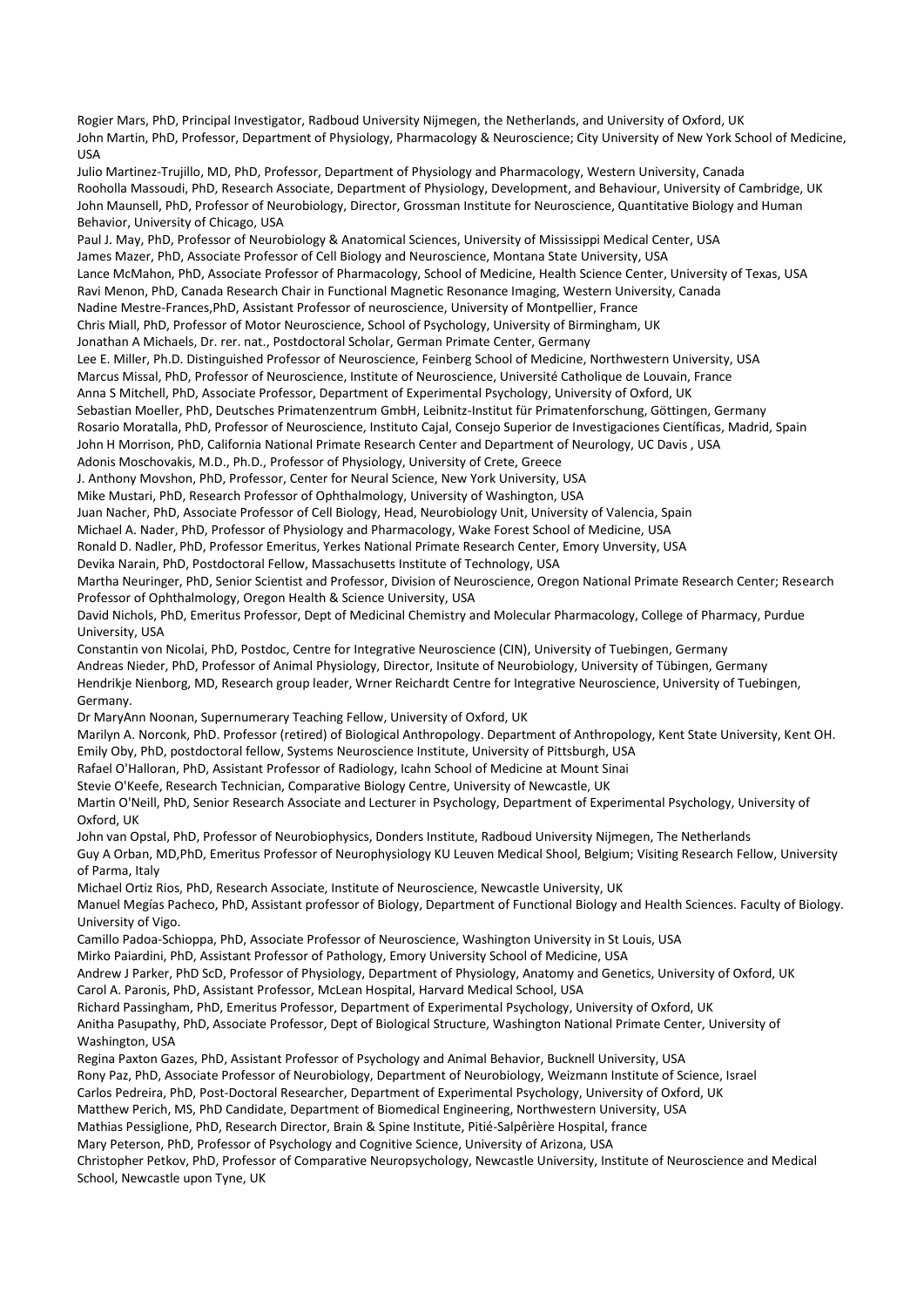Rogier Mars, PhD, Principal Investigator, Radboud University Nijmegen, the Netherlands, and University of Oxford, UK John Martin, PhD, Professor, Department of Physiology, Pharmacology & Neuroscience; City University of New York School of Medicine, USA

Julio Martinez-Trujillo, MD, PhD, Professor, Department of Physiology and Pharmacology, Western University, Canada Rooholla Massoudi, PhD, Research Associate, Department of Physiology, Development, and Behaviour, University of Cambridge, UK John Maunsell, PhD, Professor of Neurobiology, Director, Grossman Institute for Neuroscience, Quantitative Biology and Human Behavior, University of Chicago, USA

Paul J. May, PhD, Professor of Neurobiology & Anatomical Sciences, University of Mississippi Medical Center, USA James Mazer, PhD, Associate Professor of Cell Biology and Neuroscience, Montana State University, USA Lance McMahon, PhD, Associate Professor of Pharmacology, School of Medicine, Health Science Center, University of Texas, USA Ravi Menon, PhD, Canada Research Chair in Functional Magnetic Resonance Imaging, Western University, Canada Nadine Mestre-Frances,PhD, Assistant Professor of neuroscience, University of Montpellier, France

Chris Miall, PhD, Professor of Motor Neuroscience, School of Psychology, University of Birmingham, UK

Jonathan A Michaels, Dr. rer. nat., Postdoctoral Scholar, German Primate Center, Germany

Lee E. Miller, Ph.D. Distinguished Professor of Neuroscience, Feinberg School of Medicine, Northwestern University, USA

Marcus Missal, PhD, Professor of Neuroscience, Institute of Neuroscience, Université Catholique de Louvain, France

Anna S Mitchell, PhD, Associate Professor, Department of Experimental Psychology, University of Oxford, UK

Sebastian Moeller, PhD, Deutsches Primatenzentrum GmbH, Leibnitz-Institut für Primatenforschung, Göttingen, Germany

Rosario Moratalla, PhD, Professor of Neuroscience, Instituto Cajal, Consejo Superior de Investigaciones Científicas, Madrid, Spain

John H Morrison, PhD, California National Primate Research Center and Department of Neurology, UC Davis , USA

Adonis Moschovakis, M.D., Ph.D., Professor of Physiology, University of Crete, Greece

J. Anthony Movshon, PhD, Professor, Center for Neural Science, New York University, USA

Mike Mustari, PhD, Research Professor of Ophthalmology, University of Washington, USA

Juan Nacher, PhD, Associate Professor of Cell Biology, Head, Neurobiology Unit, University of Valencia, Spain

Michael A. Nader, PhD, Professor of Physiology and Pharmacology, Wake Forest School of Medicine, USA

Ronald D. Nadler, PhD, Professor Emeritus, Yerkes National Primate Research Center, Emory Unversity, USA

Devika Narain, PhD, Postdoctoral Fellow, Massachusetts Institute of Technology, USA

Martha Neuringer, PhD, Senior Scientist and Professor, Division of Neuroscience, Oregon National Primate Research Center; Research Professor of Ophthalmology, Oregon Health & Science University, USA

David Nichols, PhD, Emeritus Professor, Dept of Medicinal Chemistry and Molecular Pharmacology, College of Pharmacy, Purdue University, USA

Constantin von Nicolai, PhD, Postdoc, Centre for Integrative Neuroscience (CIN), University of Tuebingen, Germany Andreas Nieder, PhD, Professor of Animal Physiology, Director, Insitute of Neurobiology, University of Tübingen, Germany Hendrikje Nienborg, MD, Research group leader, Wrner Reichardt Centre for Integrative Neuroscience, University of Tuebingen, Germany.

Dr MaryAnn Noonan, Supernumerary Teaching Fellow, University of Oxford, UK

Marilyn A. Norconk, PhD. Professor (retired) of Biological Anthropology. Department of Anthropology, Kent State University, Kent OH. Emily Oby, PhD, postdoctoral fellow, Systems Neuroscience Institute, University of Pittsburgh, USA

Rafael O'Halloran, PhD, Assistant Professor of Radiology, Icahn School of Medicine at Mount Sinai

Stevie O'Keefe, Research Technician, Comparative Biology Centre, University of Newcastle, UK

Martin O'Neill, PhD, Senior Research Associate and Lecturer in Psychology, Department of Experimental Psychology, University of Oxford, UK

John van Opstal, PhD, Professor of Neurobiophysics, Donders Institute, Radboud University Nijmegen, The Netherlands

Guy A Orban, MD,PhD, Emeritus Professor of Neurophysiology KU Leuven Medical Shool, Belgium; Visiting Research Fellow, University of Parma, Italy

Michael Ortiz Rios, PhD, Research Associate, Institute of Neuroscience, Newcastle University, UK

Manuel Megías Pacheco, PhD, Assistant professor of Biology, Department of Functional Biology and Health Sciences. Faculty of Biology. University of Vigo.

Camillo Padoa-Schioppa, PhD, Associate Professor of Neuroscience, Washington University in St Louis, USA

Mirko Paiardini, PhD, Assistant Professor of Pathology, Emory University School of Medicine, USA

Andrew J Parker, PhD ScD, Professor of Physiology, Department of Physiology, Anatomy and Genetics, University of Oxford, UK Carol A. Paronis, PhD, Assistant Professor, McLean Hospital, Harvard Medical School, USA

Richard Passingham, PhD, Emeritus Professor, Department of Experimental Psychology, University of Oxford, UK

Anitha Pasupathy, PhD, Associate Professor, Dept of Biological Structure, Washington National Primate Center, University of Washington, USA

Regina Paxton Gazes, PhD, Assistant Professor of Psychology and Animal Behavior, Bucknell University, USA

Rony Paz, PhD, Associate Professor of Neurobiology, Department of Neurobiology, Weizmann Institute of Science, Israel

Carlos Pedreira, PhD, Post-Doctoral Researcher, Department of Experimental Psychology, University of Oxford, UK

Matthew Perich, MS, PhD Candidate, Department of Biomedical Engineering, Northwestern University, USA

Mathias Pessiglione, PhD, Research Director, Brain & Spine Institute, Pitié-Salpêrière Hospital, france

Mary Peterson, PhD, Professor of Psychology and Cognitive Science, University of Arizona, USA

Christopher Petkov, PhD, Professor of Comparative Neuropsychology, Newcastle University, Institute of Neuroscience and Medical School, Newcastle upon Tyne, UK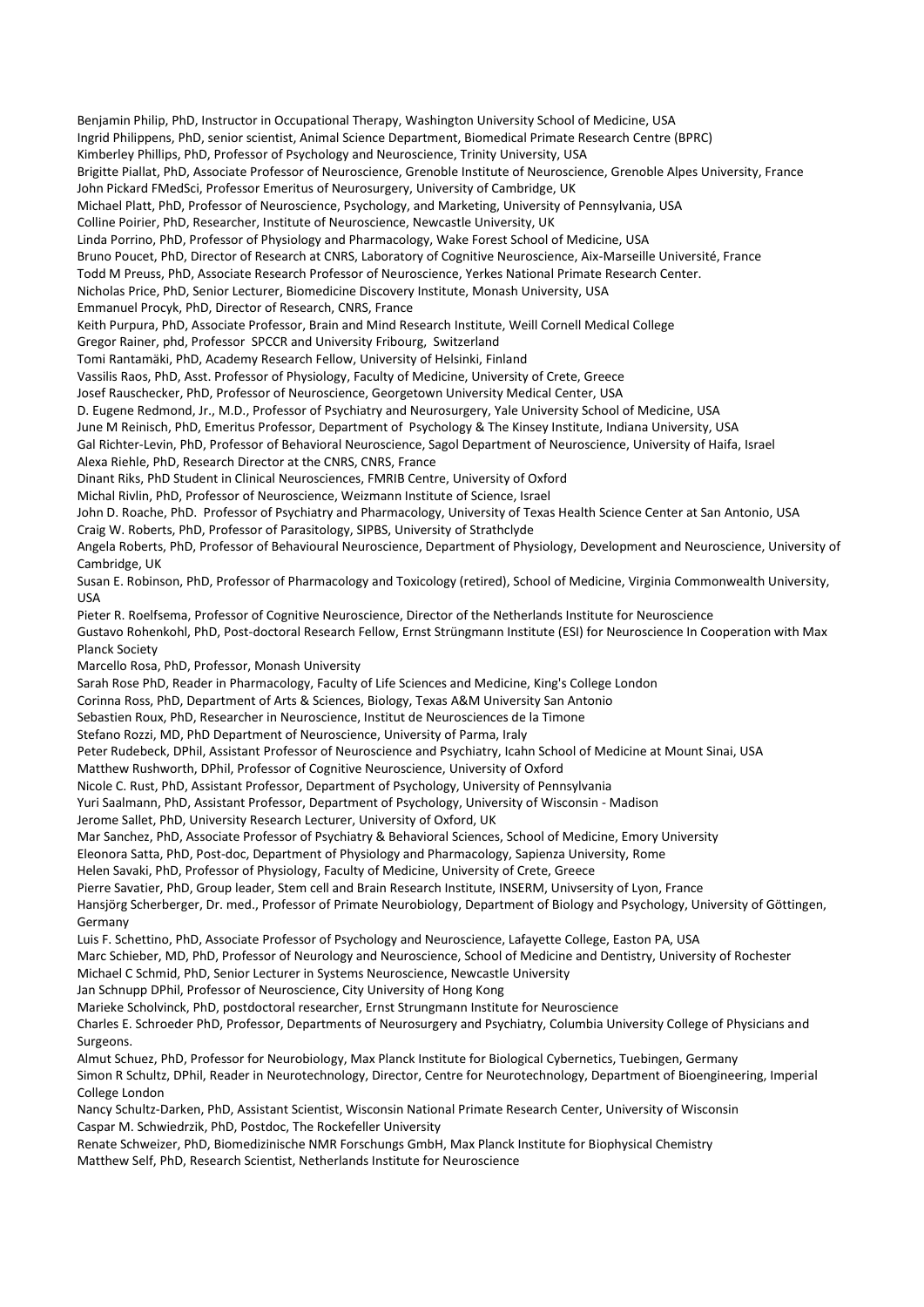Benjamin Philip, PhD, Instructor in Occupational Therapy, Washington University School of Medicine, USA Ingrid Philippens, PhD, senior scientist, Animal Science Department, Biomedical Primate Research Centre (BPRC) Kimberley Phillips, PhD, Professor of Psychology and Neuroscience, Trinity University, USA Brigitte Piallat, PhD, Associate Professor of Neuroscience, Grenoble Institute of Neuroscience, Grenoble Alpes University, France John Pickard FMedSci, Professor Emeritus of Neurosurgery, University of Cambridge, UK Michael Platt, PhD, Professor of Neuroscience, Psychology, and Marketing, University of Pennsylvania, USA Colline Poirier, PhD, Researcher, Institute of Neuroscience, Newcastle University, UK Linda Porrino, PhD, Professor of Physiology and Pharmacology, Wake Forest School of Medicine, USA Bruno Poucet, PhD, Director of Research at CNRS, Laboratory of Cognitive Neuroscience, Aix-Marseille Université, France Todd M Preuss, PhD, Associate Research Professor of Neuroscience, Yerkes National Primate Research Center. Nicholas Price, PhD, Senior Lecturer, Biomedicine Discovery Institute, Monash University, USA Emmanuel Procyk, PhD, Director of Research, CNRS, France Keith Purpura, PhD, Associate Professor, Brain and Mind Research Institute, Weill Cornell Medical College Gregor Rainer, phd, Professor SPCCR and University Fribourg, Switzerland Tomi Rantamäki, PhD, Academy Research Fellow, University of Helsinki, Finland Vassilis Raos, PhD, Asst. Professor of Physiology, Faculty of Medicine, University of Crete, Greece Josef Rauschecker, PhD, Professor of Neuroscience, Georgetown University Medical Center, USA D. Eugene Redmond, Jr., M.D., Professor of Psychiatry and Neurosurgery, Yale University School of Medicine, USA June M Reinisch, PhD, Emeritus Professor, Department of Psychology & The Kinsey Institute, Indiana University, USA Gal Richter-Levin, PhD, Professor of Behavioral Neuroscience, Sagol Department of Neuroscience, University of Haifa, Israel Alexa Riehle, PhD, Research Director at the CNRS, CNRS, France Dinant Riks, PhD Student in Clinical Neurosciences, FMRIB Centre, University of Oxford Michal Rivlin, PhD, Professor of Neuroscience, Weizmann Institute of Science, Israel John D. Roache, PhD. Professor of Psychiatry and Pharmacology, University of Texas Health Science Center at San Antonio, USA Craig W. Roberts, PhD, Professor of Parasitology, SIPBS, University of Strathclyde Angela Roberts, PhD, Professor of Behavioural Neuroscience, Department of Physiology, Development and Neuroscience, University of Cambridge, UK Susan E. Robinson, PhD, Professor of Pharmacology and Toxicology (retired), School of Medicine, Virginia Commonwealth University, USA Pieter R. Roelfsema, Professor of Cognitive Neuroscience, Director of the Netherlands Institute for Neuroscience Gustavo Rohenkohl, PhD, Post-doctoral Research Fellow, Ernst Strüngmann Institute (ESI) for Neuroscience In Cooperation with Max Planck Society Marcello Rosa, PhD, Professor, Monash University Sarah Rose PhD, Reader in Pharmacology, Faculty of Life Sciences and Medicine, King's College London Corinna Ross, PhD, Department of Arts & Sciences, Biology, Texas A&M University San Antonio Sebastien Roux, PhD, Researcher in Neuroscience, Institut de Neurosciences de la Timone Stefano Rozzi, MD, PhD Department of Neuroscience, University of Parma, Iraly Peter Rudebeck, DPhil, Assistant Professor of Neuroscience and Psychiatry, Icahn School of Medicine at Mount Sinai, USA Matthew Rushworth, DPhil, Professor of Cognitive Neuroscience, University of Oxford Nicole C. Rust, PhD, Assistant Professor, Department of Psychology, University of Pennsylvania Yuri Saalmann, PhD, Assistant Professor, Department of Psychology, University of Wisconsin - Madison Jerome Sallet, PhD, University Research Lecturer, University of Oxford, UK Mar Sanchez, PhD, Associate Professor of Psychiatry & Behavioral Sciences, School of Medicine, Emory University Eleonora Satta, PhD, Post-doc, Department of Physiology and Pharmacology, Sapienza University, Rome Helen Savaki, PhD, Professor of Physiology, Faculty of Medicine, University of Crete, Greece Pierre Savatier, PhD, Group leader, Stem cell and Brain Research Institute, INSERM, Univsersity of Lyon, France Hansjörg Scherberger, Dr. med., Professor of Primate Neurobiology, Department of Biology and Psychology, University of Göttingen, Germany Luis F. Schettino, PhD, Associate Professor of Psychology and Neuroscience, Lafayette College, Easton PA, USA Marc Schieber, MD, PhD, Professor of Neurology and Neuroscience, School of Medicine and Dentistry, University of Rochester Michael C Schmid, PhD, Senior Lecturer in Systems Neuroscience, Newcastle University Jan Schnupp DPhil, Professor of Neuroscience, City University of Hong Kong Marieke Scholvinck, PhD, postdoctoral researcher, Ernst Strungmann Institute for Neuroscience Charles E. Schroeder PhD, Professor, Departments of Neurosurgery and Psychiatry, Columbia University College of Physicians and Surgeons. Almut Schuez, PhD, Professor for Neurobiology, Max Planck Institute for Biological Cybernetics, Tuebingen, Germany Simon R Schultz, DPhil, Reader in Neurotechnology, Director, Centre for Neurotechnology, Department of Bioengineering, Imperial College London Nancy Schultz-Darken, PhD, Assistant Scientist, Wisconsin National Primate Research Center, University of Wisconsin Caspar M. Schwiedrzik, PhD, Postdoc, The Rockefeller University Renate Schweizer, PhD, Biomedizinische NMR Forschungs GmbH, Max Planck Institute for Biophysical Chemistry Matthew Self, PhD, Research Scientist, Netherlands Institute for Neuroscience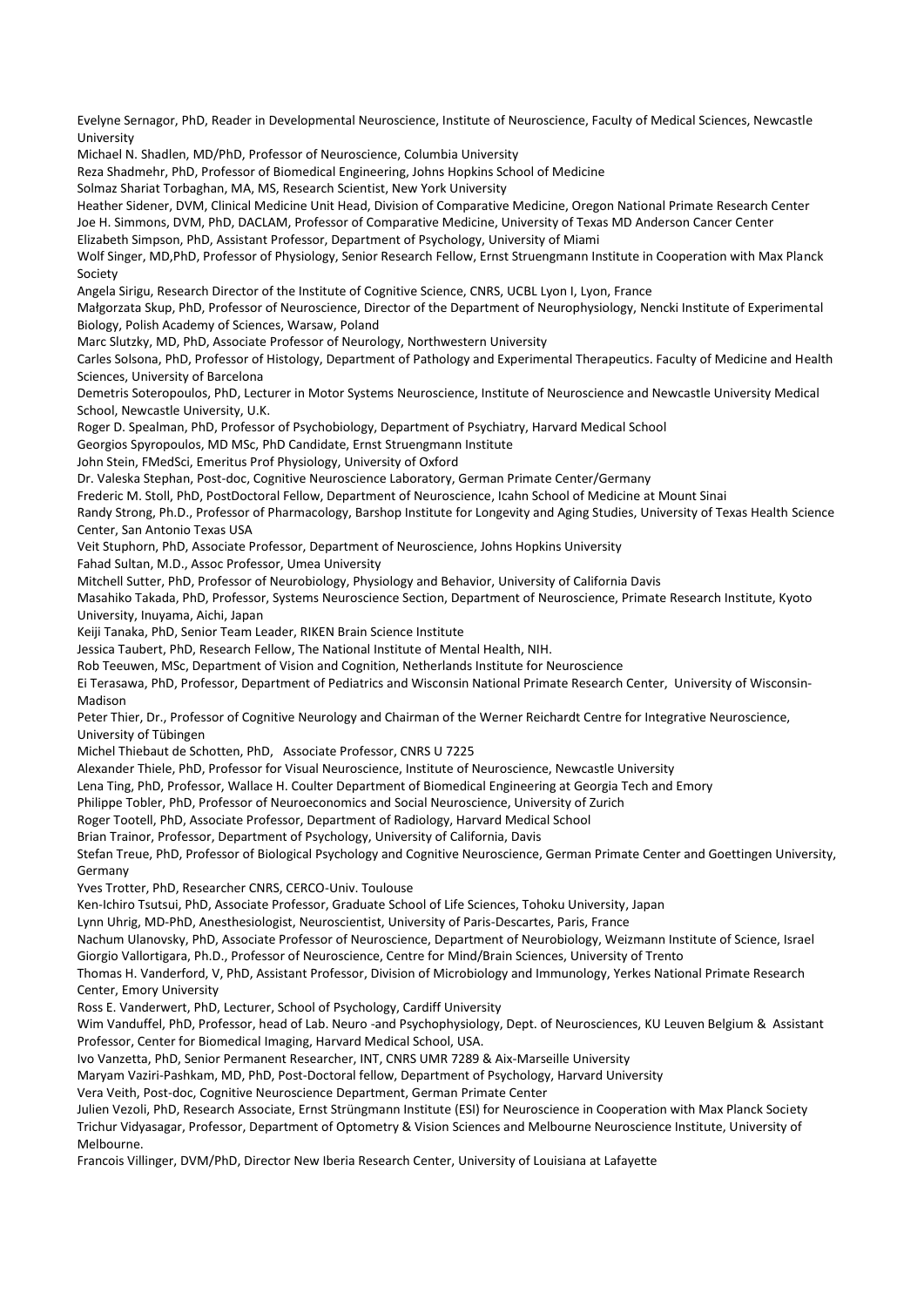Evelyne Sernagor, PhD, Reader in Developmental Neuroscience, Institute of Neuroscience, Faculty of Medical Sciences, Newcastle **University** 

Michael N. Shadlen, MD/PhD, Professor of Neuroscience, Columbia University

Reza Shadmehr, PhD, Professor of Biomedical Engineering, Johns Hopkins School of Medicine

Solmaz Shariat Torbaghan, MA, MS, Research Scientist, New York University

Heather Sidener, DVM, Clinical Medicine Unit Head, Division of Comparative Medicine, Oregon National Primate Research Center Joe H. Simmons, DVM, PhD, DACLAM, Professor of Comparative Medicine, University of Texas MD Anderson Cancer Center

Elizabeth Simpson, PhD, Assistant Professor, Department of Psychology, University of Miami

Wolf Singer, MD,PhD, Professor of Physiology, Senior Research Fellow, Ernst Struengmann Institute in Cooperation with Max Planck Society

Angela Sirigu, Research Director of the Institute of Cognitive Science, CNRS, UCBL Lyon I, Lyon, France

Małgorzata Skup, PhD, Professor of Neuroscience, Director of the Department of Neurophysiology, Nencki Institute of Experimental Biology, Polish Academy of Sciences, Warsaw, Poland

Marc Slutzky, MD, PhD, Associate Professor of Neurology, Northwestern University

Carles Solsona, PhD, Professor of Histology, Department of Pathology and Experimental Therapeutics. Faculty of Medicine and Health Sciences, University of Barcelona

Demetris Soteropoulos, PhD, Lecturer in Motor Systems Neuroscience, Institute of Neuroscience and Newcastle University Medical School, Newcastle University, U.K.

Roger D. Spealman, PhD, Professor of Psychobiology, Department of Psychiatry, Harvard Medical School

Georgios Spyropoulos, MD MSc, PhD Candidate, Ernst Struengmann Institute

John Stein, FMedSci, Emeritus Prof Physiology, University of Oxford

Dr. Valeska Stephan, Post-doc, Cognitive Neuroscience Laboratory, German Primate Center/Germany

Frederic M. Stoll, PhD, PostDoctoral Fellow, Department of Neuroscience, Icahn School of Medicine at Mount Sinai

Randy Strong, Ph.D., Professor of Pharmacology, Barshop Institute for Longevity and Aging Studies, University of Texas Health Science Center, San Antonio Texas USA

Veit Stuphorn, PhD, Associate Professor, Department of Neuroscience, Johns Hopkins University

Fahad Sultan, M.D., Assoc Professor, Umea University

Mitchell Sutter, PhD, Professor of Neurobiology, Physiology and Behavior, University of California Davis

Masahiko Takada, PhD, Professor, Systems Neuroscience Section, Department of Neuroscience, Primate Research Institute, Kyoto University, Inuyama, Aichi, Japan

Keiji Tanaka, PhD, Senior Team Leader, RIKEN Brain Science Institute

Jessica Taubert, PhD, Research Fellow, The National Institute of Mental Health, NIH.

Rob Teeuwen, MSc, Department of Vision and Cognition, Netherlands Institute for Neuroscience

Ei Terasawa, PhD, Professor, Department of Pediatrics and Wisconsin National Primate Research Center, University of Wisconsin-Madison

Peter Thier, Dr., Professor of Cognitive Neurology and Chairman of the Werner Reichardt Centre for Integrative Neuroscience, University of Tübingen

Michel Thiebaut de Schotten, PhD, Associate Professor, CNRS U 7225

Alexander Thiele, PhD, Professor for Visual Neuroscience, Institute of Neuroscience, Newcastle University

Lena Ting, PhD, Professor, Wallace H. Coulter Department of Biomedical Engineering at Georgia Tech and Emory

Philippe Tobler, PhD, Professor of Neuroeconomics and Social Neuroscience, University of Zurich

Roger Tootell, PhD, Associate Professor, Department of Radiology, Harvard Medical School

Brian Trainor, Professor, Department of Psychology, University of California, Davis

Stefan Treue, PhD, Professor of Biological Psychology and Cognitive Neuroscience, German Primate Center and Goettingen University, Germany

Yves Trotter, PhD, Researcher CNRS, CERCO-Univ. Toulouse

Ken-Ichiro Tsutsui, PhD, Associate Professor, Graduate School of Life Sciences, Tohoku University, Japan

Lynn Uhrig, MD-PhD, Anesthesiologist, Neuroscientist, University of Paris-Descartes, Paris, France

Nachum Ulanovsky, PhD, Associate Professor of Neuroscience, Department of Neurobiology, Weizmann Institute of Science, Israel Giorgio Vallortigara, Ph.D., Professor of Neuroscience, Centre for Mind/Brain Sciences, University of Trento

Thomas H. Vanderford, V, PhD, Assistant Professor, Division of Microbiology and Immunology, Yerkes National Primate Research Center, Emory University

Ross E. Vanderwert, PhD, Lecturer, School of Psychology, Cardiff University

Wim Vanduffel, PhD, Professor, head of Lab. Neuro -and Psychophysiology, Dept. of Neurosciences, KU Leuven Belgium & Assistant Professor, Center for Biomedical Imaging, Harvard Medical School, USA.

Ivo Vanzetta, PhD, Senior Permanent Researcher, INT, CNRS UMR 7289 & Aix-Marseille University

Maryam Vaziri-Pashkam, MD, PhD, Post-Doctoral fellow, Department of Psychology, Harvard University

Vera Veith, Post-doc, Cognitive Neuroscience Department, German Primate Center

Julien Vezoli, PhD, Research Associate, Ernst Strüngmann Institute (ESI) for Neuroscience in Cooperation with Max Planck Society Trichur Vidyasagar, Professor, Department of Optometry & Vision Sciences and Melbourne Neuroscience Institute, University of Melbourne.

Francois Villinger, DVM/PhD, Director New Iberia Research Center, University of Louisiana at Lafayette